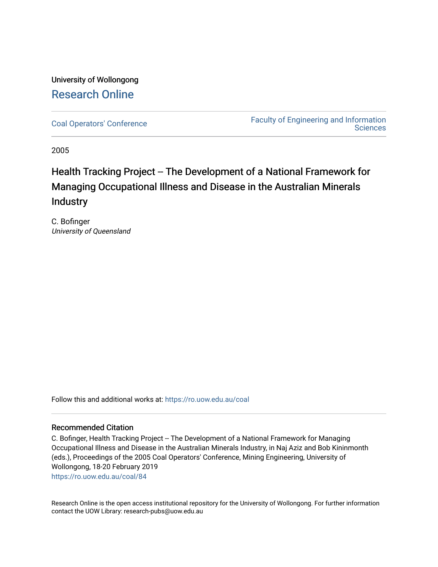# University of Wollongong [Research Online](https://ro.uow.edu.au/)

[Coal Operators' Conference](https://ro.uow.edu.au/coal) [Faculty of Engineering and Information](https://ro.uow.edu.au/eis)  **Sciences** 

2005

# Health Tracking Project -- The Development of a National Framework for Managing Occupational Illness and Disease in the Australian Minerals **Industry**

C. Bofinger University of Queensland

Follow this and additional works at: [https://ro.uow.edu.au/coal](https://ro.uow.edu.au/coal?utm_source=ro.uow.edu.au%2Fcoal%2F84&utm_medium=PDF&utm_campaign=PDFCoverPages) 

# Recommended Citation

C. Bofinger, Health Tracking Project -- The Development of a National Framework for Managing Occupational Illness and Disease in the Australian Minerals Industry, in Naj Aziz and Bob Kininmonth (eds.), Proceedings of the 2005 Coal Operators' Conference, Mining Engineering, University of Wollongong, 18-20 February 2019 [https://ro.uow.edu.au/coal/84](https://ro.uow.edu.au/coal/84?utm_source=ro.uow.edu.au%2Fcoal%2F84&utm_medium=PDF&utm_campaign=PDFCoverPages) 

Research Online is the open access institutional repository for the University of Wollongong. For further information contact the UOW Library: research-pubs@uow.edu.au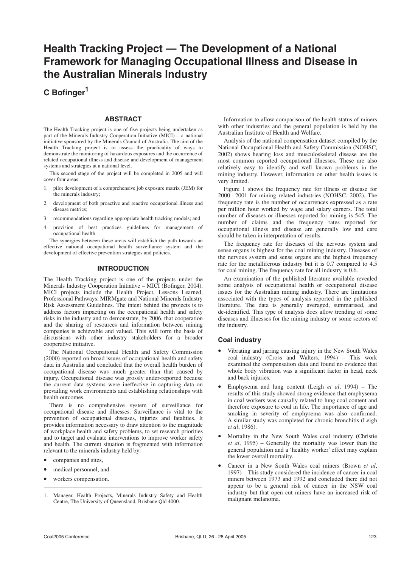# **Health Tracking Project — The Development of a National Framework for Managing Occupational Illness and Disease in the Australian Minerals Industry**

**C Bofinger1**

## **ABSTRACT**

The Health Tracking project is one of five projects being undertaken as part of the Minerals Industry Cooperation Initiative (MICI) – a national initiative sponsored by the Minerals Council of Australia. The aim of the Health Tracking project is to assess the practicality of ways to demonstrate the monitoring of hazardous exposures and the occurrence of related occupational illness and disease and development of management systems and strategies at a national level.

This second stage of the project will be completed in 2005 and will cover four areas:

- pilot development of a comprehensive job exposure matrix (JEM) for the minerals industry;
- 2. development of both proactive and reactive occupational illness and disease metrics;
- 3. recommendations regarding appropriate health tracking models; and
- 4. provision of best practices guidelines for management of occupational health.

The synergies between these areas will establish the path towards an effective national occupational health surveillance system and the development of effective prevention strategies and policies.

## **INTRODUCTION**

The Health Tracking project is one of the projects under the Minerals Industry Cooperation Initiative – MICI (Bofinger, 2004). MICI projects include the Health Project, Lessons Learned, Professional Pathways, MIRMgate and National Minerals Industry Risk Assessment Guidelines. The intent behind the projects is to address factors impacting on the occupational health and safety risks in the industry and to demonstrate, by 2006, that cooperation and the sharing of resources and information between mining companies is achievable and valued. This will form the basis of discussions with other industry stakeholders for a broader cooperative initiative.

The National Occupational Health and Safety Commission (2000) reported on broad issues of occupational health and safety data in Australia and concluded that the overall health burden of occupational disease was much greater than that caused by injury. Occupational disease was grossly under-reported because the current data systems were ineffective in capturing data on prevailing work environments and establishing relationships with health outcomes.

There is no comprehensive system of surveillance for occupational disease and illnesses. Surveillance is vital to the prevention of occupational diseases, injuries and fatalities. It provides information necessary to draw attention to the magnitude of workplace health and safety problems, to set research priorities and to target and evaluate interventions to improve worker safety and health. The current situation is fragmented with information relevant to the minerals industry held by:

- companies and sites,
- medical personnel, and
- workers compensation.

Information to allow comparison of the health status of miners with other industries and the general population is held by the Australian Institute of Health and Welfare.

Analysis of the national compensation dataset compiled by the National Occupational Health and Safety Commission (NOHSC, 2002) shows hearing loss and musculoskeletal disease are the most common reported occupational illnesses. These are also relatively easy to identify and well known problems in the mining industry. However, information on other health issues is very limited.

Figure 1 shows the frequency rate for illness or disease for 2000 - 2001 for mining related industries (NOHSC, 2002). The frequency rate is the number of occurrences expressed as a rate per million hour worked by wage and salary earners. The total number of diseases or illnesses reported for mining is 545. The number of claims and the frequency rates reported for occupational illness and disease are generally low and care should be taken in interpretation of results.

The frequency rate for diseases of the nervous system and sense organs is highest for the coal mining industry. Diseases of the nervous system and sense organs are the highest frequency rate for the metalliferous industry but it is 0.7 compared to 4.5 for coal mining. The frequency rate for all industry is 0.6.

An examination of the published literature available revealed some analysis of occupational health or occupational disease issues for the Australian mining industry. There are limitations associated with the types of analysis reported in the published literature. The data is generally averaged, summarised, and de-identified. This type of analysis does allow trending of some diseases and illnesses for the mining industry or some sectors of the industry.

# **Coal industry**

- Vibrating and jarring causing injury in the New South Wales coal industry (Cross and Walters, 1994) – This work examined the compensation data and found no evidence that whole body vibration was a significant factor in head, neck and back injuries.
- Emphysema and lung content (Leigh *et al*, 1994) The results of this study showed strong evidence that emphysema in coal workers was causally related to lung coal content and therefore exposure to coal in life. The importance of age and smoking in severity of emphysema was also confirmed. A similar study was completed for chronic bronchitis (Leigh *et al*, 1986).
- Mortality in the New South Wales coal industry (Christie *et al*, 1995) – Generally the mortality was lower than the general population and a 'healthy worker' effect may explain the lower overall mortality.
- Cancer in a New South Wales coal miners (Brown *et al*, 1997) – This study considered the incidence of cancer in coal miners between 1973 and 1992 and concluded there did not appear to be a general risk of cancer in the NSW coal industry but that open cut miners have an increased risk of malignant melanoma.

<sup>1.</sup> Manager, Health Projects, Minerals Industry Safety and Health Centre, The University of Queensland, Brisbane Qld 4000.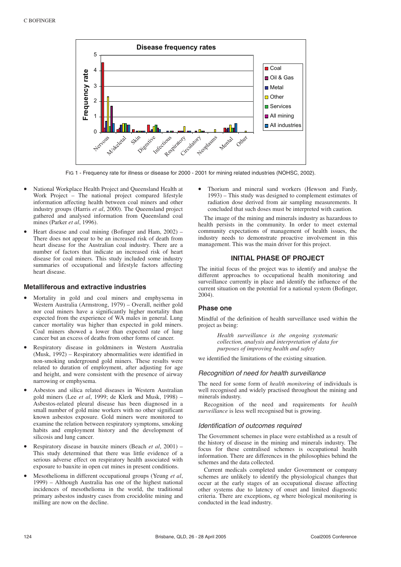

FIG 1 - Frequency rate for illness or disease for 2000 - 2001 for mining related industries (NOHSC, 2002).

- National Workplace Health Project and Queensland Health at Work Project – The national project compared lifestyle information affecting health between coal miners and other industry groups (Harris *et al*, 2000). The Queensland project gathered and analysed information from Queensland coal mines (Parker *et al*, 1996).
- Heart disease and coal mining (Bofinger and Ham, 2002) There does not appear to be an increased risk of death from heart disease for the Australian coal industry. There are a number of factors that indicate an increased risk of heart disease for coal miners. This study included some industry summaries of occupational and lifestyle factors affecting heart disease.

## **Metalliferous and extractive industries**

- Mortality in gold and coal miners and emphysema in Western Australia (Armstrong, 1979) – Overall, neither gold nor coal miners have a significantly higher mortality than expected from the experience of WA males in general. Lung cancer mortality was higher than expected in gold miners. Coal miners showed a lower than expected rate of lung cancer but an excess of deaths from other forms of cancer.
- Respiratory disease in goldminers in Western Australia (Musk, 1992) – Respiratory abnormalities were identified in non-smoking underground gold miners. These results were related to duration of employment, after adjusting for age and height, and were consistent with the presence of airway narrowing or emphysema.
- Asbestos and silica related diseases in Western Australian gold miners (Lee *et al*, 1999; de Klerk and Musk, 1998) – Asbestos-related pleural disease has been diagnosed in a small number of gold mine workers with no other significant known asbestos exposure. Gold miners were monitored to examine the relation between respiratory symptoms, smoking habits and employment history and the development of silicosis and lung cancer.
- Respiratory disease in bauxite miners (Beach *et al*, 2001) This study determined that there was little evidence of a serious adverse effect on respiratory health associated with exposure to bauxite in open cut mines in present conditions.
- Mesothelioma in different occupational groups (Yeung *et al*, 1999) – Although Australia has one of the highest national incidences of mesothelioma in the world, the traditional primary asbestos industry cases from crocidolite mining and milling are now on the decline.

• Thorium and mineral sand workers (Hewson and Fardy, 1993) – This study was designed to complement estimates of radiation dose derived from air sampling measurements. It concluded that such doses must be interpreted with caution.

The image of the mining and minerals industry as hazardous to health persists in the community. In order to meet external community expectations of management of health issues, the industry needs to demonstrate proactive involvement in this management. This was the main driver for this project.

## **INITIAL PHASE OF PROJECT**

The initial focus of the project was to identify and analyse the different approaches to occupational health monitoring and surveillance currently in place and identify the influence of the current situation on the potential for a national system (Bofinger, 2004).

## **Phase one**

Mindful of the definition of health surveillance used within the project as being:

> *Health surveillance is the ongoing systematic collection, analysis and interpretation of data for purposes of improving health and safety*

we identified the limitations of the existing situation.

### Recognition of need for health surveillance

The need for some form of *health monitoring* of individuals is well recognised and widely practised throughout the mining and minerals industry.

Recognition of the need and requirements for *health surveillance* is less well recognised but is growing.

#### Identification of outcomes required

The Government schemes in place were established as a result of the history of disease in the mining and minerals industry. The focus for these centralised schemes is occupational health information. There are differences in the philosophies behind the schemes and the data collected.

Current medicals completed under Government or company schemes are unlikely to identify the physiological changes that occur at the early stages of an occupational disease affecting other systems due to latency of onset and limited diagnostic criteria. There are exceptions, eg where biological monitoring is conducted in the lead industry.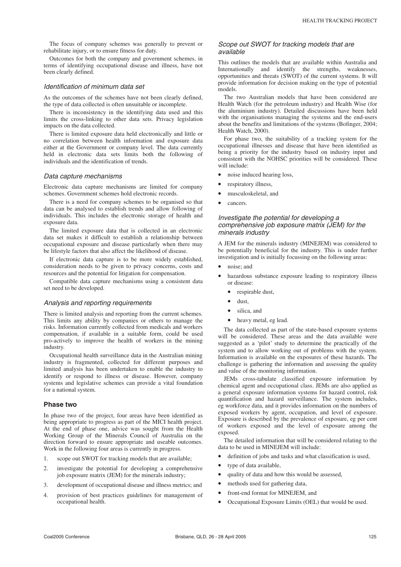The focus of company schemes was generally to prevent or rehabilitate injury, or to ensure fitness for duty.

Outcomes for both the company and government schemes, in terms of identifying occupational disease and illness, have not been clearly defined.

#### Identification of minimum data set

As the outcomes of the schemes have not been clearly defined, the type of data collected is often unsuitable or incomplete.

There is inconsistency in the identifying data used and this limits the cross-linking to other data sets. Privacy legislation impacts on the data collected.

There is limited exposure data held electronically and little or no correlation between health information and exposure data either at the Government or company level. The data currently held in electronic data sets limits both the following of individuals and the identification of trends.

#### Data capture mechanisms

Electronic data capture mechanisms are limited for company schemes. Government schemes hold electronic records.

There is a need for company schemes to be organised so that data can be analysed to establish trends and allow following of individuals. This includes the electronic storage of health and exposure data.

The limited exposure data that is collected in an electronic data set makes it difficult to establish a relationship between occupational exposure and disease particularly when there may be lifestyle factors that also affect the likelihood of disease.

If electronic data capture is to be more widely established, consideration needs to be given to privacy concerns, costs and resources and the potential for litigation for compensation.

Compatible data capture mechanisms using a consistent data set need to be developed.

#### Analysis and reporting requirements

There is limited analysis and reporting from the current schemes. This limits any ability by companies or others to manage the risks. Information currently collected from medicals and workers compensation, if available in a suitable form, could be used pro-actively to improve the health of workers in the mining industry.

Occupational health surveillance data in the Australian mining industry is fragmented, collected for different purposes and limited analysis has been undertaken to enable the industry to identify or respond to illness or disease. However, company systems and legislative schemes can provide a vital foundation for a national system.

#### **Phase two**

In phase two of the project, four areas have been identified as being appropriate to progress as part of the MICI health project. At the end of phase one, advice was sought from the Health Working Group of the Minerals Council of Australia on the direction forward to ensure appropriate and useable outcomes. Work in the following four areas is currently in progress.

- 1. scope out SWOT for tracking models that are available;
- 2. investigate the potential for developing a comprehensive job exposure matrix (JEM) for the minerals industry;
- 3. development of occupational disease and illness metrics; and
- 4. provision of best practices guidelines for management of occupational health.

#### Scope out SWOT for tracking models that are available

This outlines the models that are available within Australia and Internationally and identify the strengths, weaknesses, opportunities and threats (SWOT) of the current systems. It will provide information for decision making on the type of potential models.

The two Australian models that have been considered are Health Watch (for the petroleum industry) and Health Wise (for the aluminium industry). Detailed discussions have been held with the organisations managing the systems and the end-users about the benefits and limitations of the systems (Bofinger, 2004; Health Watch, 2000).

For phase two, the suitability of a tracking system for the occupational illnesses and disease that have been identified as being a priority for the industry based on industry input and consistent with the NOHSC priorities will be considered. These will include:

- noise induced hearing loss,
- respiratory illness,
- musculoskeletal, and
- cancers.

## Investigate the potential for developing a comprehensive job exposure matrix (JEM) for the minerals industry

A JEM for the minerals industry (MINEJEM) was considered to be potentially beneficial for the industry. This is under further investigation and is initially focussing on the following areas:

- noise; and
- hazardous substance exposure leading to respiratory illness or disease:
	- respirable dust.
	- dust,
	- silica, and
	- heavy metal, eg lead.

The data collected as part of the state-based exposure systems will be considered. These areas and the data available were suggested as a 'pilot' study to determine the practically of the system and to allow working out of problems with the system. Information is available on the exposures of these hazards. The challenge is gathering the information and assessing the quality and value of the monitoring information.

JEMs cross-tabulate classified exposure information by chemical agent and occupational class. JEMs are also applied as a general exposure information systems for hazard control, risk quantification and hazard surveillance. The system includes, eg workforce data, and it provides information on the numbers of exposed workers by agent, occupation, and level of exposure. Exposure is described by the prevalence of exposure, eg per cent of workers exposed and the level of exposure among the exposed.

The detailed information that will be considered relating to the data to be used in MINEJEM will include:

- definition of jobs and tasks and what classification is used,
- type of data available,
- quality of data and how this would be assessed,
- methods used for gathering data,
- front-end format for MINEJEM, and
- Occupational Exposure Limits (OEL) that would be used.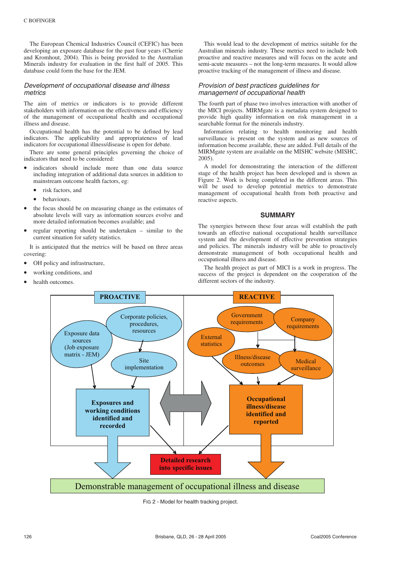The European Chemical Industries Council (CEFIC) has been developing an exposure database for the past four years (Cherrie and Kromhout, 2004). This is being provided to the Australian Minerals industry for evaluation in the first half of 2005. This database could form the base for the JEM.

## Development of occupational disease and illness metrics

The aim of metrics or indicators is to provide different stakeholders with information on the effectiveness and efficiency of the management of occupational health and occupational illness and disease.

Occupational health has the potential to be defined by lead indicators. The applicability and appropriateness of lead indicators for occupational illness/disease is open for debate.

There are some general principles governing the choice of indicators that need to be considered:

- indicators should include more than one data source including integration of additional data sources in addition to mainstream outcome health factors, eg:
	- risk factors, and
	- behaviours.
- the focus should be on measuring change as the estimates of absolute levels will vary as information sources evolve and more detailed information becomes available; and
- regular reporting should be undertaken similar to the current situation for safety statistics.

It is anticipated that the metrics will be based on three areas covering:

- OH policy and infrastructure,
- working conditions, and
- health outcomes.

This would lead to the development of metrics suitable for the Australian minerals industry. These metrics need to include both proactive and reactive measures and will focus on the acute and semi-acute measures – not the long-term measures. It would allow proactive tracking of the management of illness and disease.

## Provision of best practices guidelines for management of occupational health

The fourth part of phase two involves interaction with another of the MICI projects. MIRMgate is a metadata system designed to provide high quality information on risk management in a searchable format for the minerals industry.

Information relating to health monitoring and health surveillance is present on the system and as new sources of information become available, these are added. Full details of the MIRMgate system are available on the MISHC website (MISHC, 2005).

A model for demonstrating the interaction of the different stage of the health project has been developed and is shown as Figure 2. Work is being completed in the different areas. This will be used to develop potential metrics to demonstrate management of occupational health from both proactive and reactive aspects.

#### **SUMMARY**

The synergies between these four areas will establish the path towards an effective national occupational health surveillance system and the development of effective prevention strategies and policies. The minerals industry will be able to proactively demonstrate management of both occupational health and occupational illness and disease.

The health project as part of MICI is a work in progress. The success of the project is dependent on the cooperation of the different sectors of the industry.



FIG 2 - Model for health tracking project.